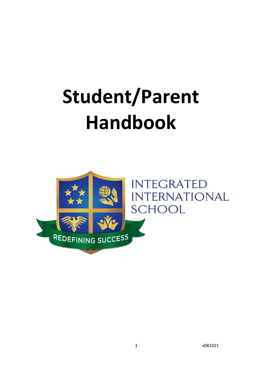# **Student/Parent Handbook**

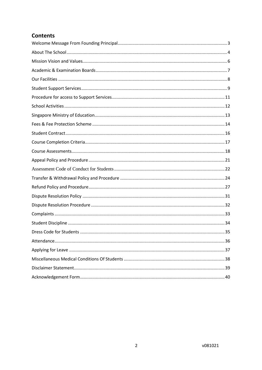### **Contents**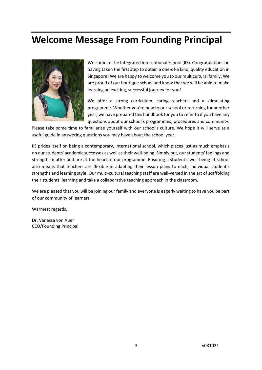# <span id="page-2-0"></span>**Welcome Message From Founding Principal**



Welcome to the Integrated International School (IIS). Congratulations on having taken the first step to obtain a one-of-a kind, quality education in Singapore! We are happy to welcome you to our multicultural family. We are proud of our boutique school and know that we will be able to make learning an exciting, successful journey for you!

We offer a strong curriculum, caring teachers and a stimulating programme. Whether you're new to our school or returning for another year, we have prepared this handbook for you to refer to if you have any questions about our school's programmes, procedures and community.

Please take some time to familiarise yourself with our school's culture. We hope it will serve as a useful guide in answering questions you may have about the school year.

IIS prides itself on being a contemporary, international school, which places just as much emphasis on ourstudents' academic successes as well astheir well-being. Simply put, ourstudents' feelings and strengths matter and are at the heart of our programme. Ensuring a student's well-being at school also means that teachers are flexible in adapting their lesson plans to each, individual student's strengths and learning style. Our multi-cultural teaching staff are well-versed in the art of scaffolding their students' learning and take a collaborative teaching approach in the classroom.

We are pleased that you will be joining our family and everyone is eagerly waiting to have you be part of our community of learners.

Warmest regards,

Dr. Vanessa von Auer CEO/Founding Principal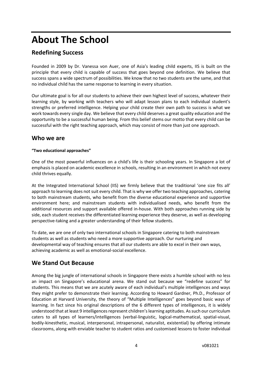# <span id="page-3-0"></span>**About The School**

# **Redefining Success**

Founded in 2009 by Dr. Vanessa von Auer, one of Asia's leading child experts, IIS is built on the principle that every child is capable of success that goes beyond one definition. We believe that success spans a wide spectrum of possibilities. We know that no two students are the same, and that no individual child has the same response to learning in every situation.

Our ultimate goal is for all our students to achieve their own highest level of success, whatever their learning style, by working with teachers who will adapt lesson plans to each individual student's strengths or preferred intelligence. Helping your child create their own path to success is what we work towards every single day. We believe that every child deserves a great quality education and the opportunity to be a successful human being. From this belief stems our motto that every child can be successful with the right teaching approach, which may consist of more than just one approach.

### **Who we are**

#### **"Two educational approaches"**

One of the most powerful influences on a child's life is their schooling years. In Singapore a lot of emphasis is placed on academic excellence in schools, resulting in an environment in which not every child thrives equally.

At the Integrated International School (IIS) we firmly believe that the traditional 'one size fits all' approach to learning does not suit every child. That is why we offer two teaching approaches, catering to both mainstream students, who benefit from the diverse educational experience and supportive environment here; and mainstream students with individualised needs, who benefit from the additional resources and support available offered in-house. With both approaches running side by side, each student receives the differentiated learning experience they deserve, as well as developing perspective-taking and a greater understanding of their fellow students.

To date, we are one of only two international schools in Singapore catering to both mainstream students as well as students who need a more supportive approach. Our nurturing and developmental way of teaching ensures that all our students are able to excel in their own ways, achieving academic as well as emotional-social excellence.

## **We Stand Out Because**

Among the big jungle of international schools in Singapore there exists a humble school with no less an impact on Singapore's educational arena. We stand out because we "redefine success" for students. This means that we are acutely aware of each individual's multiple intelligences and ways they might prefer to demonstrate their learning. According to Howard Gardner, Ph.D., Professor of Education at Harvard University, the theory of "Multiple Intelligences" goes beyond basic ways of learning. In fact since his original descriptions of the 6 different types of intelligences, it is widely understood that at least 9 intelligences represent children's learning aptitudes. As such our curriculum caters to all types of learners/intelligences (verbal-linguistic, logical-mathematical, spatial-visual, bodily-kinesthetic, musical, interpersonal, intrapersonal, naturalist, existential) by offering intimate classrooms, along with enviable teacher to student ratios and customised lessons to foster individual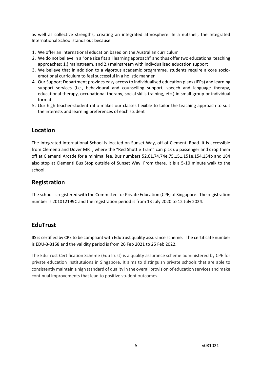as well as collective strengths, creating an integrated atmosphere. In a nutshell, the Integrated International School stands out because:

- 1. We offer an international education based on the Australian curriculum
- 2. We do not believe in a "one size fits all learning approach" and thus offer two educational teaching approaches: 1.) mainstream, and 2.) mainstream with indivdualised education support
- 3. We believe that in addition to a vigorous academic programme, students require a core socioemotional curriculum to feel successful in a holistic manner
- 4. Our Support Department provides easy access to individualised education plans (IEPs) and learning support services (i.e., behavioural and counselling support, speech and language therapy, educational therapy, occupational therapy, social skills training, etc.) in small-group or individual format
- 5. Our high teacher-student ratio makes our classes flexible to tailor the teaching approach to suit the interests and learning preferences of each student

## **Location**

The Integrated International School is located on Sunset Way, off of Clementi Road. It is accessible from Clementi and Dover MRT, where the "Red Shuttle Tram" can pick up passenger and drop them off at Clementi Arcade for a minimal fee. Bus numbers 52,61,74,74e,75,151,151e,154,154b and 184 also stop at Clementi Bus Stop outside of Sunset Way. From there, it is a 5-10 minute walk to the school.

# **Registration**

The school isregistered with the Committee for Private Education (CPE) of Singapore. The registration number is 201012199C and the registration period is from 13 July 2020 to 12 July 2024.

## **EduTrust**

IIS is certified by CPE to be compliant with Edutrust quality assurance scheme. The certificate number is EDU-3-3158 and the validity period is from 26 Feb 2021 to 25 Feb 2022.

The EduTrust Certification Scheme (EduTrust) is a quality assurance scheme administered by CPE for private education institutuions in Singapore. It aims to distinguish private schools that are able to consistently maintain a high standard of quality in the overall provision of education services and make continual improvements that lead to positive student outcomes.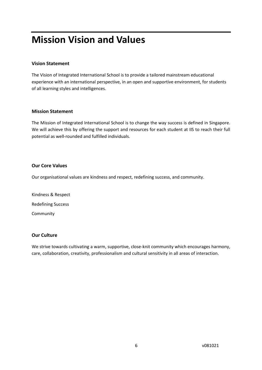# <span id="page-5-0"></span>**Mission Vision and Values**

#### **Vision Statement**

The Vision of Integrated International School is to provide a tailored mainstream educational experience with an international perspective, in an open and supportive environment, for students of all learning styles and intelligences.

#### **Mission Statement**

The Mission of Integrated International School is to change the way success is defined in Singapore. We will achieve this by offering the support and resources for each student at IIS to reach their full potential as well-rounded and fulfilled individuals.

#### **Our Core Values**

Our organisational values are kindness and respect, redefining success, and community.

Kindness & Respect Redefining Success Community

#### **Our Culture**

We strive towards cultivating a warm, supportive, close-knit community which encourages harmony, care, collaboration, creativity, professionalism and cultural sensitivity in all areas of interaction.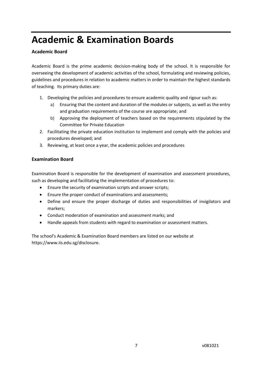# <span id="page-6-0"></span>**Academic & Examination Boards**

#### **Academic Board**

Academic Board is the prime academic decision-making body of the school. It is responsible for overseeing the development of academic activities of the school, formulating and reviewing policies, guidelines and procedures in relation to academic matters in order to maintain the highest standards of teaching. Its primary duties are:

- 1. Developing the policies and procedures to ensure academic quality and rigour such as:
	- a) Ensuring that the content and duration of the modules or subjects, as well as the entry and graduation requirements of the course are appropriate; and
	- b) Approving the deployment of teachers based on the requirements stipulated by the Committee for Private Education
- 2. Facilitating the private education institution to implement and comply with the policies and procedures developed; and
- 3. Reviewing, at least once a year, the academic policies and procedures

#### **Examination Board**

Examination Board is responsible for the development of examination and assessment procedures, such as developing and facilitating the implementation of procedures to:

- Ensure the security of examination scripts and answer scripts;
- Ensure the proper conduct of examinations and assessments;
- Define and ensure the proper discharge of duties and responsibilities of invigilators and markers;
- Conduct moderation of examination and assessment marks; and
- Handle appeals from students with regard to examination or assessment matters.

The school's Academic & Examination Board members are listed on our website at https://www.iis.edu.sg/disclosure.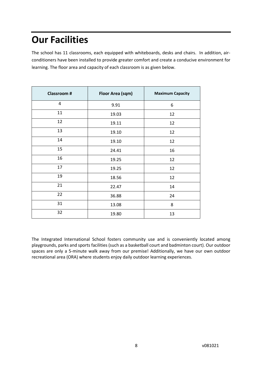# <span id="page-7-0"></span>**Our Facilities**

The school has 11 classrooms, each equipped with whiteboards, desks and chairs. In addition, airconditioners have been installed to provide greater comfort and create a conducive environment for learning. The floor area and capacity of each classroom is as given below.

| <b>Classroom#</b> | Floor Area (sqm) | <b>Maximum Capacity</b> |
|-------------------|------------------|-------------------------|
| 4                 | 9.91             | 6                       |
| 11                | 19.03            | 12                      |
| 12                | 19.11            | 12                      |
| 13                | 19.10            | 12                      |
| 14                | 19.10            | 12                      |
| 15                | 24.41            | 16                      |
| 16                | 19.25            | 12                      |
| 17                | 19.25            | 12                      |
| 19                | 18.56            | 12                      |
| 21                | 22.47            | 14                      |
| 22                | 36.88            | 24                      |
| 31                | 13.08            | 8                       |
| 32                | 19.80            | 13                      |

The Integrated International School fosters community use and is conveniently located among playgrounds, parks and sports facilities (such as a basketball court and badminton court). Our outdoor spaces are only a 5-minute walk away from our premise! Additionally, we have our own outdoor recreational area (ORA) where students enjoy daily outdoor learning experiences.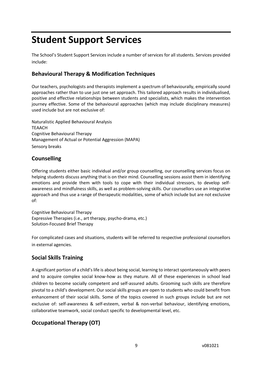# <span id="page-8-0"></span>**Student Support Services**

The School's Student Support Services include a number of services for all students. Services provided include:

### **Behavioural Therapy & Modification Techniques**

Our teachers, psychologists and therapists implement a spectrum of behaviourally, empirically sound approaches rather than to use just one set approach. This tailored approach results in individualised, positive and effective relationships between students and specialists, which makes the intervention journey effective. Some of the behavioural approaches (which may include disciplinary measures) used include but are not exclusive of:

Naturalistic Applied Behavioural Analysis TEAACH Cognitive Behavioural Therapy Management of Actual or Potential Aggression (MAPA) Sensory breaks

### **Counselling**

Offering students either basic individual and/or group counselling, our counselling services focus on helping students discuss anything that is on their mind. Counselling sessions assist them in identifying emotions and provide them with tools to cope with their individual stressors, to develop selfawareness and mindfulness skills, as well as problem-solving skills. Our counsellors use an integrative approach and thus use a range of therapeutic modalities, some of which include but are not exclusive of:

Cognitive Behavioural Therapy Expressive Therapies (i.e., art therapy, psycho-drama, etc.) Solution-Focused Brief Therapy

For complicated cases and situations, students will be referred to respective professional counsellors in external agencies.

## **Social Skills Training**

A significant portion of a child's life is about being social, learning to interact spontaneously with peers and to acquire complex social know-how as they mature. All of these experiences in school lead children to become socially competent and self-assured adults. Grooming such skills are therefore pivotal to a child's development. Our social skills groups are open to students who could benefit from enhancement of their social skills. Some of the topics covered in such groups include but are not exclusive of: self-awareness & self-esteem, verbal & non-verbal behaviour, identifying emotions, collaborative teamwork, social conduct specific to developmental level, etc.

# **Occupational Therapy (OT)**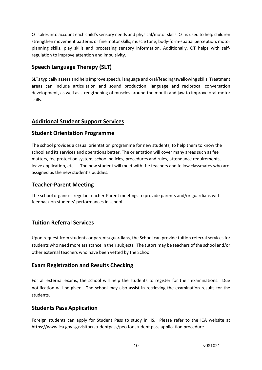OT takes into account each child's sensory needs and physical/motor skills. OT is used to help children strengthen movement patterns or fine motor skills, muscle tone, body-form-spatial perception, motor planning skills, play skills and processing sensory information. Additionally, OT helps with selfregulation to improve attention and impulsivity.

# **Speech Language Therapy (SLT)**

SLTs typically assess and help improve speech, language and oral/feeding/swallowing skills. Treatment areas can include articulation and sound production, language and reciprocal conversation development, as well as strengthening of muscles around the mouth and jaw to improve oral-motor skills.

### **Additional Student Support Services**

### **Student Orientation Programme**

The school provides a casual orientation programme for new students, to help them to know the school and its services and operations better. The orientation will cover many areas such as fee matters, fee protection system, school policies, procedures and rules, attendance requirements, leave application, etc. The new student will meet with the teachers and fellow classmates who are assigned as the new student's buddies.

### **Teacher-Parent Meeting**

The school organises regular Teacher-Parent meetings to provide parents and/or guardians with feedback on students' performances in school.

## **Tuition Referral Services**

Upon request from students or parents/guardians, the School can provide tuition referral services for students who need more assistance in their subjects. The tutors may be teachers of the school and/or other external teachers who have been vetted by the School.

### **Exam Registration and Results Checking**

For all external exams, the school will help the students to register for their examinations. Due notification will be given. The school may also assist in retrieving the examination results for the students.

### **Students Pass Application**

Foreign students can apply for Student Pass to study in IIS. Please refer to the ICA website at <https://www.ica.gov.sg/visitor/studentpass/peo> for student pass application procedure.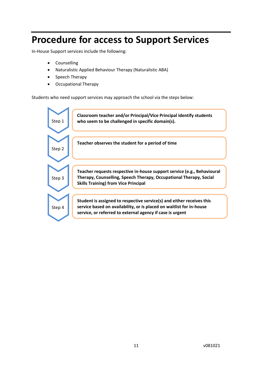# <span id="page-10-0"></span>**Procedure for access to Support Services**

In-House Support services include the following:

- Counselling
- Naturalistic Applied Behaviour Therapy (Naturalistic ABA)
- Speech Therapy
- Occupational Therapy

Students who need support services may approach the school via the steps below:

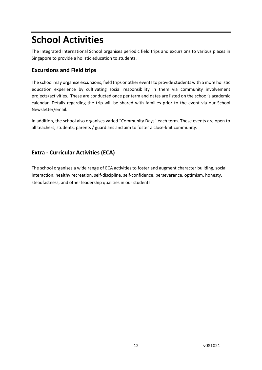# <span id="page-11-0"></span>**School Activities**

The Integrated International School organises periodic field trips and excursions to various places in Singapore to provide a holistic education to students.

### **Excursions and Field trips**

The school may organise excursions, field trips or other events to provide students with a more holistic education experience by cultivating social responsibility in them via community involvement projects/activities. These are conducted once per term and dates are listed on the school's academic calendar. Details regarding the trip will be shared with families prior to the event via our School Newsletter/email.

In addition, the school also organises varied "Community Days" each term. These events are open to all teachers, students, parents / guardians and aim to foster a close-knit community.

## **Extra - Curricular Activities (ECA)**

The school organises a wide range of ECA activities to foster and augment character building, social interaction, healthy recreation, self-discipline, self-confidence, perseverance, optimism, honesty, steadfastness, and other leadership qualities in our students.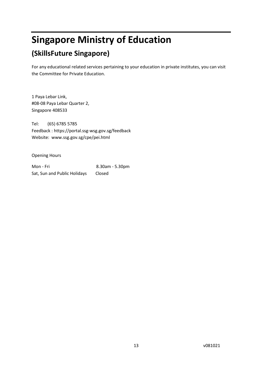# <span id="page-12-0"></span>**Singapore Ministry of Education**

# **(SkillsFuture Singapore)**

For any educational related services pertaining to your education in private institutes, you can visit the Committee for Private Education.

1 Paya Lebar Link, #08-08 Paya Lebar Quarter 2, Singapore 408533

Tel: (65) 6785 5785 Feedback : https://portal.ssg-wsg.gov.sg/feedback Website: www.ssg.gov.sg/cpe/pei.html

Opening Hours

Mon - Fri 8.30am - 5.30pm Sat, Sun and Public Holidays Closed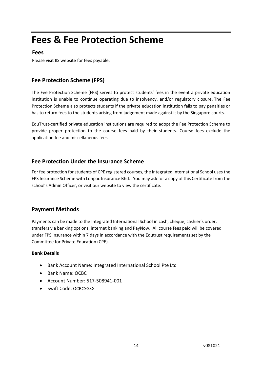# <span id="page-13-0"></span>**Fees & Fee Protection Scheme**

### **Fees**

Please visit IIS website for fees payable.

## **Fee Protection Scheme (FPS)**

The Fee Protection Scheme (FPS) serves to protect students' fees in the event a private education institution is unable to continue operating due to insolvency, and/or regulatory closure. The Fee Protection Scheme also protects students if the private education institution fails to pay penalties or has to return fees to the students arising from judgement made against it by the Singapore courts.

EduTrust-certified private education institutions are required to adopt the Fee Protection Scheme to provide proper protection to the course fees paid by their students. Course fees exclude the application fee and miscellaneous fees.

### **Fee Protection Under the Insurance Scheme**

For fee protection for students of CPE registered courses, the Integrated International School uses the FPS Insurance Scheme with Lonpac Insurance Bhd. You may ask for a copy of this Certificate from the school's Admin Officer, or visit our website to view the certificate.

### **Payment Methods**

Payments can be made to the Integrated International School in cash, cheque, cashier's order, transfers via banking options, internet banking and PayNow. All course fees paid will be covered under FPS insurance within 7 days in accordance with the Edutrust requirements set by the Committee for Private Education (CPE).

#### **Bank Details**

- Bank Account Name: Integrated International School Pte Ltd
- Bank Name: OCBC
- Account Number: 517-508941-001
- Swift Code: OCBCSGSG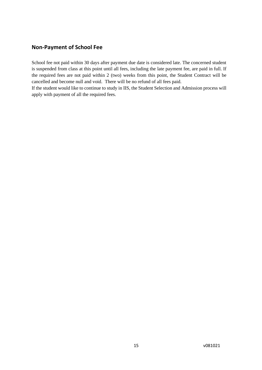### **Non-Payment of School Fee**

School fee not paid within 30 days after payment due date is considered late. The concerned student is suspended from class at this point until all fees, including the late payment fee, are paid in full. If the required fees are not paid within 2 (two) weeks from this point, the Student Contract will be cancelled and become null and void. There will be no refund of all fees paid.

If the student would like to continue to study in IIS, the Student Selection and Admission process will apply with payment of all the required fees.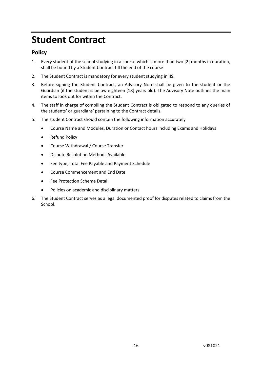# <span id="page-15-0"></span>**Student Contract**

### **Policy**

- 1. Every student of the school studying in a course which is more than two [2] months in duration, shall be bound by a Student Contract till the end of the course
- 2. The Student Contract is mandatory for every student studying in IIS.
- 3. Before signing the Student Contract, an Advisory Note shall be given to the student or the Guardian (if the student is below eighteen [18] years old). The Advisory Note outlines the main items to look out for within the Contract.
- 4. The staff in charge of compiling the Student Contract is obligated to respond to any queries of the students' or guardians' pertaining to the Contract details.
- 5. The student Contract should contain the following information accurately
	- Course Name and Modules, Duration or Contact hours including Exams and Holidays
	- Refund Policy
	- Course Withdrawal / Course Transfer
	- Dispute Resolution Methods Available
	- Fee type, Total Fee Payable and Payment Schedule
	- Course Commencement and End Date
	- Fee Protection Scheme Detail
	- Policies on academic and disciplinary matters
- 6. The Student Contract serves as a legal documented proof for disputes related to claims from the School.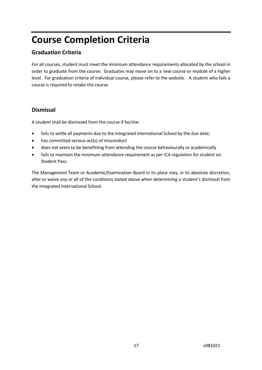# <span id="page-16-0"></span>**Course Completion Criteria**

### **Graduation Criteria**

For all courses, student must meet the minimum attendance requirements allocated by the school in order to graduate from the course. Graduates may move on to a new course or module of a higher level. For graduation criteria of individual course, please refer to the website. A student who fails a course is required to retake the course.

### **Dismissal**

A student shall be dismissed from the course if he/she:

- fails to settle all payments due to the Integrated International School by the due date;
- has committed serious act(s) of misconduct
- does not seem to be benefitting from attending the course behaviourally or academically
- fails to maintain the minimum attendance requirement as per ICA regulation for student on Student Pass.

The Management Team or Academic/Examination Board in its place may, in its absolute discretion, alter or waive any or all of the conditions stated above when determining a student's dismissal from the Integrated International School.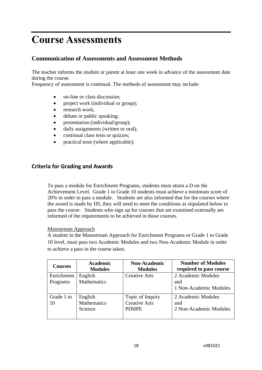# <span id="page-17-0"></span>**Course Assessments**

### **Communication of Assessments and Assessment Methods**

The teacher informs the student or parent at least one week in advance of the assessment date during the course.

Frequency of assessment is continual. The methods of assessment may include:

- on-line or class discussion;
- project work (individual or group);
- research work:
- debate or public speaking;
- presentation (individual/group);
- daily assignments (written or oral);
- continual class tests or quizzes;
- practical tests (where applicable);

### **Criteria for Grading and Awards**

To pass a module for Enrichment Programs, students must attain a D on the Achievement Level. Grade 1 to Grade 10 students must achieve a minimum score of 20% in order to pass a module. Students are also informed that for the courses where the award is made by IIS, they will need to meet the conditions as stipulated below to pass the course. Students who sign up for courses that are examined externally are informed of the requirements to be achieved in those courses.

#### Mainstream Approach

A student in the Mainstream Approach for Enrichment Programs or Grade 1 to Grade 10 level, must pass two Academic Modules and two Non-Academic Module in order to achieve a pass in the course taken.

| <b>Courses</b>         | <b>Academic</b><br><b>Modules</b> | <b>Non-Academic</b><br><b>Modules</b>                    | <b>Number of Modules</b><br>required to pass course |
|------------------------|-----------------------------------|----------------------------------------------------------|-----------------------------------------------------|
| Enrichment<br>Programs | English<br>Mathematics            | <b>Creative Arts</b>                                     | 2 Academic Modules<br>and<br>1 Non-Academic Modules |
| Grade 1 to<br>10       | English<br>Mathematics<br>Science | Topic of Inquiry<br><b>Creative Arts</b><br><b>PDHPE</b> | 2 Academic Modules<br>and<br>2 Non-Academic Modules |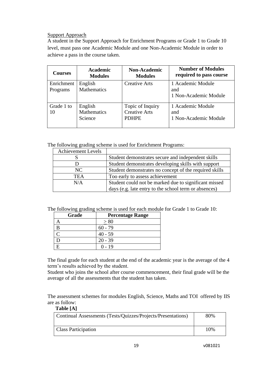#### Support Approach

A student in the Support Approach for Enrichment Programs or Grade 1 to Grade 10 level, must pass one Academic Module and one Non-Academic Module in order to achieve a pass in the course taken.

| <b>Courses</b>         | <b>Academic</b><br><b>Modules</b>        | <b>Non-Academic</b><br><b>Modules</b>                    | <b>Number of Modules</b><br>required to pass course |
|------------------------|------------------------------------------|----------------------------------------------------------|-----------------------------------------------------|
| Enrichment<br>Programs | English<br><b>Mathematics</b>            | <b>Creative Arts</b>                                     | 1 Academic Module<br>and<br>1 Non-Academic Module   |
| Grade 1 to<br>10       | English<br><b>Mathematics</b><br>Science | Topic of Inquiry<br><b>Creative Arts</b><br><b>PDHPE</b> | 1 Academic Module<br>and<br>1 Non-Academic Module   |

The following grading scheme is used for Enrichment Programs:

| <b>Achievement Levels</b> |                                                        |
|---------------------------|--------------------------------------------------------|
|                           | Student demonstrates secure and independent skills     |
|                           | Student demonstrates developing skills with support    |
| NC                        | Student demonstrates no concept of the required skills |
| TEA                       | Too early to assess achievement                        |
| N/A                       | Student could not be marked due to significant missed  |
|                           | days (e.g. late entry to the school term or absences)  |

The following grading scheme is used for each module for Grade 1 to Grade 10:

| Grade | <b>Percentage Range</b> |
|-------|-------------------------|
|       | > 80                    |
|       | $60 - 79$               |
|       | $40 - 59$               |
|       | $20 - 39$               |
|       | 0 - 19                  |

The final grade for each student at the end of the academic year is the average of the 4 term's results achieved by the student.

Student who joins the school after course commencement, their final grade will be the average of all the assessments that the student has taken.

The assessment schemes for modules English, Science, Maths and TOI offered by IIS are as follow:

**Table [A]**

| Continual Assessments (Tests/Quizzes/Projects/Presentations) | 80% |
|--------------------------------------------------------------|-----|
| <b>Class Participation</b>                                   | 10% |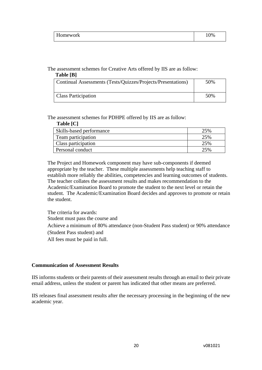| $- -$<br>Homework | 10% |
|-------------------|-----|
|                   |     |

The assessment schemes for Creative Arts offered by IIS are as follow:

#### **Table [B]**

| Continual Assessments (Tests/Quizzes/Projects/Presentations) | 50% |
|--------------------------------------------------------------|-----|
| <b>Class Participation</b>                                   | 50% |

#### The assessment schemes for PDHPE offered by IIS are as follow:

| Table [C]                |     |
|--------------------------|-----|
| Skills-based performance | 25% |
| Team participation       | 25% |
| Class participation      | 25% |
| Personal conduct         | 25% |

The Project and Homework component may have sub-components if deemed appropriate by the teacher. These multiple assessments help teaching staff to establish more reliably the abilities, competencies and learning outcomes of students. The teacher collates the assessment results and makes recommendation to the Academic/Examination Board to promote the student to the next level or retain the student. The Academic/Examination Board decides and approves to promote or retain the student.

The criteria for awards: Student must pass the course and Achieve a minimum of 80% attendance (non-Student Pass student) or 90% attendance (Student Pass student) and All fees must be paid in full.

#### **Communication of Assessment Results**

IIS informs students or their parents of their assessment results through an email to their private email address, unless the student or parent has indicated that other means are preferred.

IIS releases final assessment results after the necessary processing in the beginning of the new academic year.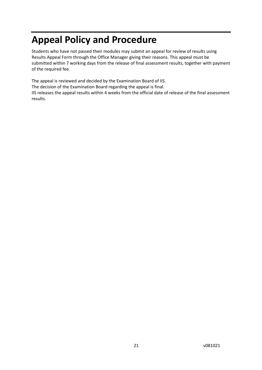# <span id="page-20-0"></span>**Appeal Policy and Procedure**

Students who have not passed their modules may submit an appeal for review of results using Results Appeal Form through the Office Manager giving their reasons. This appeal must be submitted within 7 working days from the release of final assessment results, together with payment of the required fee.

The appeal is reviewed and decided by the Examination Board of IIS.

The decision of the Examination Board regarding the appeal is final.

IIS releases the appeal results within 4 weeks from the official date of release of the final assessment results.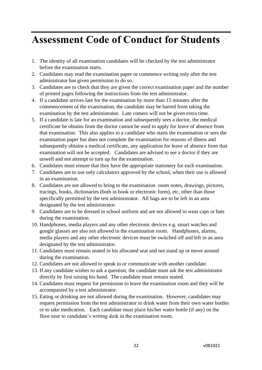# <span id="page-21-0"></span>**Assessment Code of Conduct for Students**

- 1. The identity of all examination candidates will be checked by the test administrator before the examination starts.
- 2. Candidates may read the examination paper or commence writing only after the test administrator has given permission to do so.
- 3. Candidates are to check that they are given the correct examination paper and the number of printed pages following the instructions from the test administrator.
- 4. If a candidate arrives late for the examination by more than 15 minutes after the commencement of the examination, the candidate may be barred from taking the examination by the test administrator. Late comers will not be given extra time.
- 5. If a candidate is late for an examination and subsequently sees a doctor, the medical certificate he obtains from the doctor cannot be used to apply for leave of absence from that examination. This also applies to a candidate who starts the examination or sees the examination paper but does not complete the examination for reasons of illness and subsequently obtains a medical certificate, any application for leave of absence from that examination will not be accepted. Candidates are advised to see a doctor if they are unwell and not attempt to turn up for the examination.
- 6. Candidates must ensure that they have the appropriate stationery for each examination.
- 7. Candidates are to use only calculators approved by the school, when their use is allowed in an examination.
- 8. Candidates are not allowed to bring to the examination room notes, drawings, pictures, tracings, books, dictionaries (both in book or electronic form), etc, other than those specifically permitted by the test administrator. All bags are to be left in an area designated by the test administrator.
- 9. Candidates are to be dressed in school uniform and are not allowed to wear caps or hats during the examination.
- 10. Handphones, media players and any other electronic devices e.g. smart watches and google glasses are also not allowed in the examination room. Handphones, alarms, media players and any other electronic devices must be switched off and left in an area designated by the test administrator.
- 11. Candidates must remain seated in his allocated seat and not stand up or move around during the examination.
- 12. Candidates are not allowed to speak to or communicate with another candidate.
- 13. If any candidate wishes to ask a question, the candidate must ask the test administrator directly by first raising his hand. The candidate must remain seated.
- 14. Candidates must request for permission to leave the examination room and they will be accompanied by a test administrator.
- 15. Eating or drinking are not allowed during the examination. However, candidates may request permission from the test administrator to drink water from their own water bottles or to take medication. Each candidate must place his/her water bottle (if any) on the floor near to candidate's writing desk in the examination room.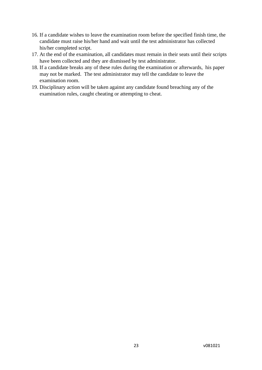- 16. If a candidate wishes to leave the examination room before the specified finish time, the candidate must raise his/her hand and wait until the test administrator has collected his/her completed script.
- 17. At the end of the examination, all candidates must remain in their seats until their scripts have been collected and they are dismissed by test administrator.
- 18. If a candidate breaks any of these rules during the examination or afterwards, his paper may not be marked. The test administrator may tell the candidate to leave the examination room.
- 19. Disciplinary action will be taken against any candidate found breaching any of the examination rules, caught cheating or attempting to cheat.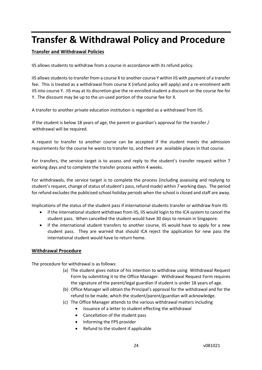# <span id="page-23-0"></span>**Transfer & Withdrawal Policy and Procedure**

#### **Transfer and Withdrawal Policies**

IIS allows students to withdraw from a course in accordance with its refund policy.

IIS allows students to transfer from a course X to another course Y within IIS with payment of a transfer fee. This is treated as a withdrawal from course X (refund policy will apply) and a re-enrolment with IIS into course Y. IIS may at its discretion give the re-enrolled student a discount on the course fee for Y. The discount may be up to the un-used portion of the course fee for X.

A transfer to another private education institution is regarded as a withdrawal from IIS.

If the student is below 18 years of age, the parent or guardian's approval for the transfer / withdrawal will be required.

A request to transfer to another course can be accepted if the student meets the admission requirements for the course he wants to transfer to, and there are available places in that course.

For transfers, the service target is to assess and reply to the student's transfer request within 7 working days and to complete the transfer process within 4 weeks.

For withdrawals, the service target is to complete the process (including assessing and replying to student's request, change of status of student's pass, refund made) within 7 working days. The period for refund excludes the publicised school holiday periods when the school is closed and staff are away.

Implications of the status of the student pass if international students transfer or withdraw from IIS:

- if the international student withdraws from IIS, IIS would login to the ICA system to cancel the student pass. When cancelled the student would have 30 days to remain in Singapore.
- if the international student transfers to another course, IIS would have to apply for a new student pass. They are warned that should ICA reject the application for new pass the international student would have to return home.

#### **Withdrawal Procedure**

The procedure for withdrawal is as follows:

- (a) The student gives notice of his intention to withdraw using Withdrawal Request Form by submitting it to the Office Manager. Withdrawal Request Form requires the signature of the parent/legal guardian if student is under 18 years of age.
- (b) Office Manager will obtain the Principal's approval for the withdrawal and for the refund to be made, which the student/parent/guardian will acknowledge.
- (c) The Office Manager attends to the various withdrawal matters including
	- Issuance of a letter to student effecting the withdrawal
	- Cancellation of the student pass
	- Informing the FPS provider
	- Refund to the student if applicable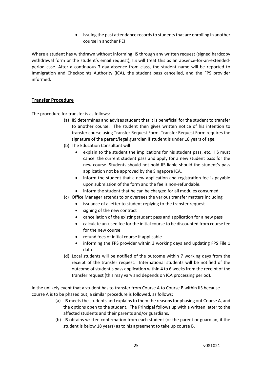• Issuing the past attendance records to students that are enrolling in another course in another PEI

Where a student has withdrawn without informing IIS through any written request (signed hardcopy withdrawal form or the student's email request), IIS will treat this as an absence-for-an-extendedperiod case. After a continuous 7-day absence from class, the student name will be reported to Immigration and Checkpoints Authority (ICA), the student pass cancelled, and the FPS provider informed.

#### **Transfer Procedure**

The procedure for transfer is as follows:

- (a) IIS determines and advises student that it is beneficial for the student to transfer to another course. The student then gives written notice of his intention to transfer course using Transfer Request Form. Transfer Request Form requires the signature of the parent/legal guardian if student is under 18 years of age.
- (b) The Education Consultant will
	- explain to the student the implications for his student pass, etc. IIS must cancel the current student pass and apply for a new student pass for the new course. Students should not hold IIS liable should the student's pass application not be approved by the Singapore ICA.
	- inform the student that a new application and registration fee is payable upon submission of the form and the fee is non-refundable.
	- inform the student that he can be charged for all modules consumed.
- (c) Office Manager attends to or oversees the various transfer matters including
	- issuance of a letter to student replying to the transfer request
	- signing of the new contract
	- cancellation of the existing student pass and application for a new pass
	- calculate un-used fee for the initial course to be discounted from course fee for the new course
	- refund fees of initial course if applicable
	- informing the FPS provider within 3 working days and updating FPS File 1 data
- (d) Local students will be notified of the outcome within 7 working days from the receipt of the transfer request. International students will be notified of the outcome of student's pass application within 4 to 6 weeks from the receipt of the transfer request (this may vary and depends on ICA processing period).

In the unlikely event that a student has to transfer from Course A to Course B within IIS because course A is to be phased out, a similar procedure is followed, as follows:

- (a) IIS meets the students and explains to them the reasons for phasing out Course A, and the options open to the student. The Principal follows up with a written letter to the affected students and their parents and/or guardians.
- (b) IIS obtains written confirmation from each student (or the parent or guardian, if the student is below 18 years) as to his agreement to take up course B.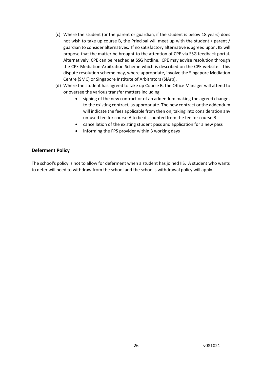- (c) Where the student (or the parent or guardian, if the student is below 18 years) does not wish to take up course B, the Principal will meet up with the student / parent / guardian to consider alternatives. If no satisfactory alternative is agreed upon, IIS will propose that the matter be brought to the attention of CPE via SSG feedback portal. Alternatively, CPE can be reached at SSG hotline. CPE may advise resolution through the CPE Mediation-Arbitration Scheme which is described on the CPE website. This dispute resolution scheme may, where appropriate, involve the Singapore Mediation Centre (SMC) or Singapore Institute of Arbitrators (SIArb).
- (d) Where the student has agreed to take up Course B, the Office Manager will attend to or oversee the various transfer matters including
	- signing of the new contract or of an addendum making the agreed changes to the existing contract, as appropriate. The new contract or the addendum will indicate the fees applicable from then on, taking into consideration any un-used fee for course A to be discounted from the fee for course B
	- cancellation of the existing student pass and application for a new pass
	- informing the FPS provider within 3 working days

#### **Deferment Policy**

The school's policy is not to allow for deferment when a student has joined IIS. A student who wants to defer will need to withdraw from the school and the school's withdrawal policy will apply.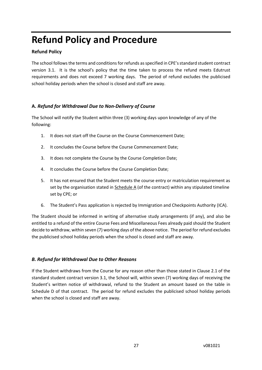# <span id="page-26-0"></span>**Refund Policy and Procedure**

#### **Refund Policy**

The school follows the terms and conditions for refunds as specified in CPE's standard student contract version 3.1. It is the school's policy that the time taken to process the refund meets Edutrust requirements and does not exceed 7 working days. The period of refund excludes the publicised school holiday periods when the school is closed and staff are away.

#### **A.** *Refund for Withdrawal Due to Non-Delivery of Course*

The School will notify the Student within three (3) working days upon knowledge of any of the following:

- 1. It does not start off the Course on the Course Commencement Date;
- 2. It concludes the Course before the Course Commencement Date;
- 3. It does not complete the Course by the Course Completion Date;
- 4. It concludes the Course before the Course Completion Date;
- 5. It has not ensured that the Student meets the course entry or matriculation requirement as set by the organisation stated in Schedule A (of the contract) within any stipulated timeline set by CPE; or
- 6. The Student's Pass application is rejected by Immigration and Checkpoints Authority (ICA).

The Student should be informed in writing of alternative study arrangements (if any), and also be entitled to a refund of the entire Course Fees and Miscellaneous Fees already paid should the Student decide to withdraw, within seven (7) working days of the above notice. The period for refund excludes the publicised school holiday periods when the school is closed and staff are away.

### *B. Refund for Withdrawal Due to Other Reasons*

If the Student withdraws from the Course for any reason other than those stated in Clause 2.1 of the standard student contract version 3.1, the School will, within seven (7) working days of receiving the Student's written notice of withdrawal, refund to the Student an amount based on the table in Schedule D of that contract. The period for refund excludes the publicised school holiday periods when the school is closed and staff are away.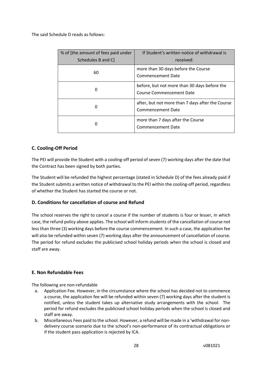The said Schedule D reads as follows:

| % of [the amount of fees paid under<br>Schedules B and C | If Student's written notice of withdrawal is<br>received:                       |
|----------------------------------------------------------|---------------------------------------------------------------------------------|
| 60                                                       | more than 30 days before the Course<br>Commencement Date                        |
| 0                                                        | before, but not more than 30 days before the<br><b>Course Commencement Date</b> |
| Ω                                                        | after, but not more than 7 days after the Course<br><b>Commencement Date</b>    |
|                                                          | more than 7 days after the Course<br><b>Commencement Date</b>                   |

#### **C. Cooling-Off Period**

The PEI will provide the Student with a cooling-off period of seven (7) working days after the date that the Contract has been signed by both parties.

The Student will be refunded the highest percentage (stated in Schedule D) of the fees already paid if the Student submits a written notice of withdrawal to the PEI within the cooling-off period, regardless of whether the Student has started the course or not.

#### **D. Conditions for cancellation of course and Refund**

The school reserves the right to cancel a course if the number of students is four or lesser, in which case, the refund policy above applies. The school will inform students of the cancellation of course not less than three (3) working days before the course commencement. In such a case, the application fee will also be refunded within seven (7) working days after the announcement of cancellation of course. The period for refund excludes the publicised school holiday periods when the school is closed and staff are away.

#### **E. Non Refundable Fees**

The following are non-refundable

- a. Application Fee. However, in the circumstance where the school has decided not to commence a course, the application fee will be refunded within seven (7) working days after the student is notified, unless the student takes up alternative study arrangements with the school. The period for refund excludes the publicised school holiday periods when the school is closed and staff are away.
- b. Miscellaneous Fees paid to the school. However, a refund will be made in a 'withdrawal for nondelivery course scenario due to the school's non-performance of its contractual obligations or if the student pass application is rejected by ICA.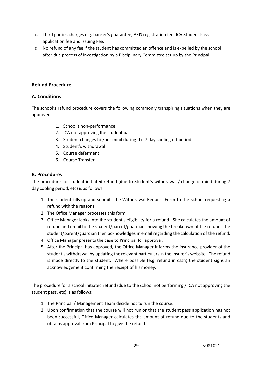- c. Third parties charges e.g. banker's guarantee, AEIS registration fee, ICA Student Pass application fee and Issuing Fee.
- d. No refund of any fee if the student has committed an offence and is expelled by the school after due process of investigation by a Disciplinary Committee set up by the Principal.

#### **Refund Procedure**

#### **A. Conditions**

The school's refund procedure covers the following commonly transpiring situations when they are approved.

- 1. School's non-performance
- 2. ICA not approving the student pass
- 3. Student changes his/her mind during the 7 day cooling off period
- 4. Student's withdrawal
- 5. Course deferment
- 6. Course Transfer

#### **B. Procedures**

The procedure for student initiated refund (due to Student's withdrawal / change of mind during 7 day cooling period, etc) is as follows:

- 1. The student fills-up and submits the Withdrawal Request Form to the school requesting a refund with the reasons.
- 2. The Office Manager processes this form.
- 3. Office Manager looks into the student's eligibility for a refund. She calculates the amount of refund and email to the student/parent/guardian showing the breakdown of the refund. The student/parent/guardian then acknowledges in email regarding the calculation of the refund.
- 4. Office Manager presents the case to Principal for approval.
- 5. After the Principal has approved, the Office Manager informs the insurance provider of the student's withdrawal by updating the relevant particulars in the insurer's website. The refund is made directly to the student. Where possible (e.g. refund in cash) the student signs an acknowledgement confirming the receipt of his money.

The procedure for a school initiated refund (due to the school not performing / ICA not approving the student pass, etc) is as follows:

- 1. The Principal / Management Team decide not to run the course.
- 2. Upon confirmation that the course will not run or that the student pass application has not been successful, Office Manager calculates the amount of refund due to the students and obtains approval from Principal to give the refund.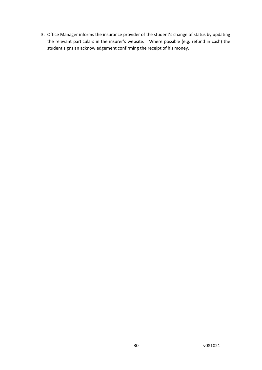3. Office Manager informs the insurance provider of the student's change of status by updating the relevant particulars in the insurer's website. Where possible (e.g. refund in cash) the student signs an acknowledgement confirming the receipt of his money.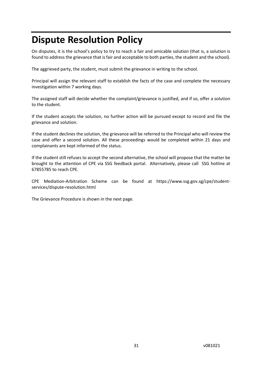# <span id="page-30-0"></span>**Dispute Resolution Policy**

On disputes, it is the school's policy to try to reach a fair and amicable solution (that is, a solution is found to address the grievance that is fair and acceptable to both parties, the student and the school).

The aggrieved party, the student, must submit the grievance in writing to the school.

Principal will assign the relevant staff to establish the facts of the case and complete the necessary investigation within 7 working days.

The assigned staff will decide whether the complaint/grievance is justified, and if so, offer a solution to the student.

If the student accepts the solution, no further action will be pursued except to record and file the grievance and solution.

If the student declines the solution, the grievance will be referred to the Principal who will review the case and offer a second solution. All these proceedings would be completed within 21 days and complainants are kept informed of the status.

If the student still refuses to accept the second alternative, the school will propose that the matter be brought to the attention of CPE via SSG feedback portal. Alternatively, please call SSG hotline at 67855785 to reach CPE.

CPE Mediation-Arbitration Scheme can be found at https://www.ssg.gov.sg/cpe/studentservices/dispute-resolution.html

The Grievance Procedure is shown in the next page.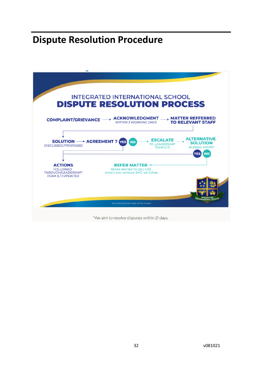# <span id="page-31-0"></span>**Dispute Resolution Procedure**

| <b>ACKNOWLEDGMENT</b><br><b>WITHIN 3 WORKING DAYS</b>                                               | $\rightarrow$ MATTER REFFERRED<br><b>TO RELEVANT STAFF</b>                                                                                 |
|-----------------------------------------------------------------------------------------------------|--------------------------------------------------------------------------------------------------------------------------------------------|
| <b>SOLUTION - AGREEMENT?</b> YES<br><b>NO</b>                                                       | <b>ALTERNATIVE</b><br><b>SOLUTION</b><br><b>AGREED UPON?</b><br><b>NO</b>                                                                  |
| <b>REFER MATTER &lt;</b><br><b>REFER MATTER TO SSG CPE</b><br><b>WHICH MAY INVOLVE SMC OR SIARB</b> |                                                                                                                                            |
| THIS PROCESS MAY TAKE UP TO 21 DAYS                                                                 |                                                                                                                                            |
|                                                                                                     | <b>INTEGRATED INTERNATIONAL SCHOOL</b><br><b>DISPUTE RESOLUTION PROCESS</b><br><b>ESCALATE</b><br><b>TO LEADERSHIP</b><br><b>TEAM (LT)</b> |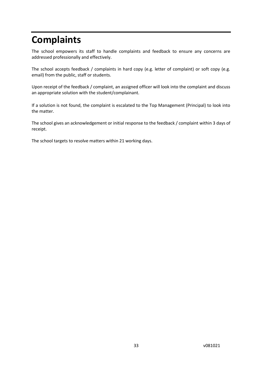# <span id="page-32-0"></span>**Complaints**

The school empowers its staff to handle complaints and feedback to ensure any concerns are addressed professionally and effectively.

The school accepts feedback / complaints in hard copy (e.g. letter of complaint) or soft copy (e.g. email) from the public, staff or students.

Upon receipt of the feedback / complaint, an assigned officer will look into the complaint and discuss an appropriate solution with the student/complainant.

If a solution is not found, the complaint is escalated to the Top Management (Principal) to look into the matter.

The school gives an acknowledgement or initial response to the feedback / complaint within 3 days of receipt.

The school targets to resolve matters within 21 working days.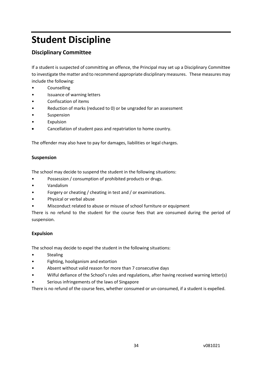# <span id="page-33-0"></span>**Student Discipline**

### **Disciplinary Committee**

If a student is suspected of committing an offence, the Principal may set up a Disciplinary Committee to investigate the matter and to recommend appropriate disciplinary measures. These measures may include the following:

- Counselling
- Issuance of warning letters
- Confiscation of items
- Reduction of marks (reduced to 0) or be ungraded for an assessment
- **Suspension**
- Expulsion
- Cancellation of student pass and repatriation to home country.

The offender may also have to pay for damages, liabilities or legal charges.

#### **Suspension**

The school may decide to suspend the student in the following situations:

- Possession / consumption of prohibited products or drugs.
- Vandalism
- Forgery or cheating / cheating in test and / or examinations.
- Physical or verbal abuse
- Misconduct related to abuse or misuse of school furniture or equipment

There is no refund to the student for the course fees that are consumed during the period of suspension.

#### **Expulsion**

The school may decide to expel the student in the following situations:

- Stealing
- Fighting, hooliganism and extortion
- Absent without valid reason for more than 7 consecutive days
- Wilful defiance of the School's rules and regulations, after having received warning letter(s)
- Serious infringements of the laws of Singapore

There is no refund of the course fees, whether consumed or un-consumed, if a student is expelled.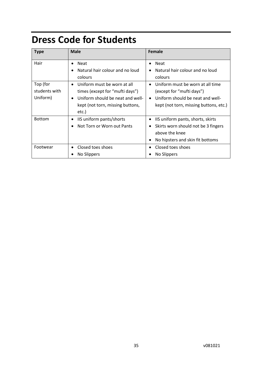# <span id="page-34-0"></span>**Dress Code for Students**

| <b>Type</b>   | <b>Male</b>                                   | Female                                           |
|---------------|-----------------------------------------------|--------------------------------------------------|
| Hair          | <b>Neat</b><br>$\bullet$                      | <b>Neat</b><br>٠                                 |
|               | Natural hair colour and no loud               | Natural hair colour and no loud                  |
|               | colours                                       | colours                                          |
| Top (for      | Uniform must be worn at all<br>$\bullet$      | Uniform must be worn at all time<br>$\bullet$    |
| students with | times (except for "mufti days")               | (except for "mufti days")                        |
| Uniform)      | Uniform should be neat and well-<br>$\bullet$ | Uniform should be neat and well-<br>$\bullet$    |
|               | kept (not torn, missing buttons,              | kept (not torn, missing buttons, etc.)           |
|               | etc.)                                         |                                                  |
| <b>Bottom</b> | IIS uniform pants/shorts<br>٠                 | IIS uniform pants, shorts, skirts                |
|               | Not Torn or Worn out Pants                    | Skirts worn should not be 3 fingers<br>$\bullet$ |
|               |                                               | above the knee                                   |
|               |                                               | No hipsters and skin fit bottoms                 |
| Footwear      | Closed toes shoes                             | Closed toes shoes                                |
|               | No Slippers                                   | No Slippers                                      |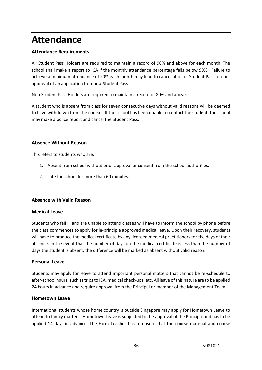# <span id="page-35-0"></span>**Attendance**

#### **Attendance Requirements**

All Student Pass Holders are required to maintain a record of 90% and above for each month. The school shall make a report to ICA if the monthly attendance percentage falls below 90%. Failure to achieve a minimum attendance of 90% each month may lead to cancellation of Student Pass or nonapproval of an application to renew Student Pass.

Non-Student Pass Holders are required to maintain a record of 80% and above.

A student who is absent from class for seven consecutive days without valid reasons will be deemed to have withdrawn from the course. If the school has been unable to contact the student, the school may make a police report and cancel the Student Pass.

#### **Absence Without Reason**

This refers to students who are:

- 1. Absent from school without prior approval or consent from the school authorities.
- 2. Late for school for more than 60 minutes.

#### **Absence with Valid Reason**

#### **Medical Leave**

Students who fall ill and are unable to attend classes will have to inform the school by phone before the class commences to apply for in-principle approved medical leave. Upon their recovery, students will have to produce the medical certificate by any licensed medical practitioners for the days of their absence. In the event that the number of days on the medical certificate is less than the number of days the student is absent, the difference will be marked as absent without valid reason.

#### **Personal Leave**

Students may apply for leave to attend important personal matters that cannot be re-schedule to after-school hours, such as trips to ICA, medical check-ups, etc. All leave of this nature are to be applied 24 hours in advance and require approval from the Principal or member of the Management Team.

#### **Hometown Leave**

International students whose home country is outside Singapore may apply for Hometown Leave to attend to family matters. Hometown Leave is subjected to the approval of the Principal and has to be applied 14 days in advance. The Form Teacher has to ensure that the course material and course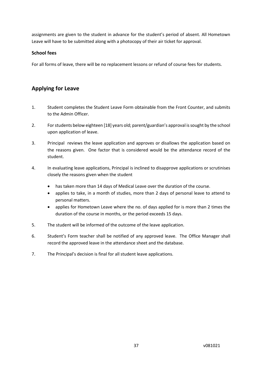assignments are given to the student in advance for the student's period of absent. All Hometown Leave will have to be submitted along with a photocopy of their air ticket for approval.

#### **School fees**

For all forms of leave, there will be no replacement lessons or refund of course fees for students.

### <span id="page-36-0"></span>**Applying for Leave**

- 1. Student completes the Student Leave Form obtainable from the Front Counter, and submits to the Admin Officer.
- 2. For students below eighteen [18] years old; parent/guardian's approval is sought by the school upon application of leave.
- 3. Principal reviews the leave application and approves or disallows the application based on the reasons given. One factor that is considered would be the attendance record of the student.
- 4. In evaluating leave applications, Principal is inclined to disapprove applications or scrutinises closely the reasons given when the student
	- has taken more than 14 days of Medical Leave over the duration of the course.
	- applies to take, in a month of studies, more than 2 days of personal leave to attend to personal matters.
	- applies for Hometown Leave where the no. of days applied for is more than 2 times the duration of the course in months, or the period exceeds 15 days.
- 5. The student will be informed of the outcome of the leave application.
- 6. Student's Form teacher shall be notified of any approved leave. The Office Manager shall record the approved leave in the attendance sheet and the database.
- 7. The Principal's decision is final for all student leave applications.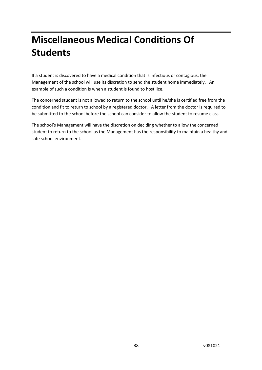# <span id="page-37-0"></span>**Miscellaneous Medical Conditions Of Students**

If a student is discovered to have a medical condition that is infectious or contagious, the Management of the school will use its discretion to send the student home immediately. An example of such a condition is when a student is found to host lice.

The concerned student is not allowed to return to the school until he/she is certified free from the condition and fit to return to school by a registered doctor. A letter from the doctor is required to be submitted to the school before the school can consider to allow the student to resume class.

The school's Management will have the discretion on deciding whether to allow the concerned student to return to the school as the Management has the responsibility to maintain a healthy and safe school environment.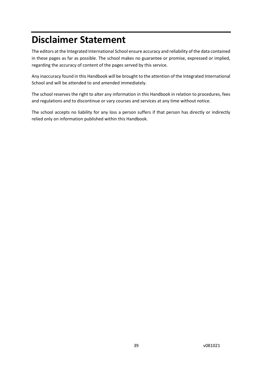# <span id="page-38-0"></span>**Disclaimer Statement**

The editors at the Integrated International School ensure accuracy and reliability of the data contained in these pages as far as possible. The school makes no guarantee or promise, expressed or implied, regarding the accuracy of content of the pages served by this service.

Any inaccuracy found in this Handbook will be brought to the attention of the Integrated International School and will be attended to and amended immediately.

The school reserves the right to alter any information in this Handbook in relation to procedures, fees and regulations and to discontinue or vary courses and services at any time without notice.

The school accepts no liability for any loss a person suffers if that person has directly or indirectly relied only on information published within this Handbook.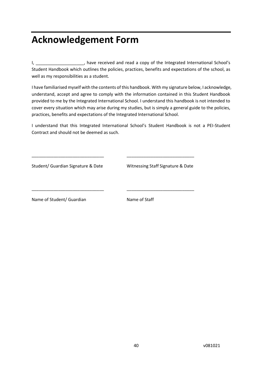# <span id="page-39-0"></span>**Acknowledgement Form**

I, \_\_\_\_\_\_\_\_\_\_\_\_\_\_\_\_\_\_\_\_, have received and read a copy of the Integrated International School's Student Handbook which outlines the policies, practices, benefits and expectations of the school, as well as my responsibilities as a student.

I have familiarised myself with the contents of this handbook. With my signature below, I acknowledge, understand, accept and agree to comply with the information contained in this Student Handbook provided to me by the Integrated International School. I understand this handbook is not intended to cover every situation which may arise during my studies, but is simply a general guide to the policies, practices, benefits and expectations of the Integrated International School.

I understand that this Integrated International School's Student Handbook is not a PEI-Student Contract and should not be deemed as such.

\_\_\_\_\_\_\_\_\_\_\_\_\_\_\_\_\_\_\_\_\_\_\_\_\_\_\_\_\_\_ \_\_\_\_\_\_\_\_\_\_\_\_\_\_\_\_\_\_\_\_\_\_\_\_\_\_\_\_

\_\_\_\_\_\_\_\_\_\_\_\_\_\_\_\_\_\_\_\_\_\_\_\_\_\_\_\_\_\_ \_\_\_\_\_\_\_\_\_\_\_\_\_\_\_\_\_\_\_\_\_\_\_\_\_\_\_\_

Student/ Guardian Signature & Date Witnessing Staff Signature & Date

Name of Student/ Guardian Name of Staff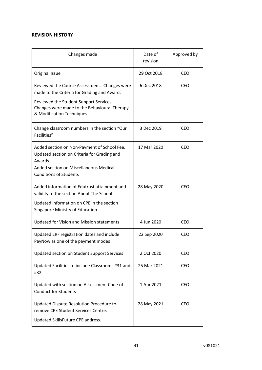#### **REVISION HISTORY**

| Changes made                                                                                                                                                                     | Date of<br>revision | Approved by |
|----------------------------------------------------------------------------------------------------------------------------------------------------------------------------------|---------------------|-------------|
| Original Issue                                                                                                                                                                   | 29 Oct 2018         | <b>CEO</b>  |
| Reviewed the Course Assessment. Changes were<br>made to the Criteria for Grading and Award.                                                                                      | 6 Dec 2018          | <b>CEO</b>  |
| Reviewed the Student Support Services.<br>Changes were made to the Behavioural Therapy<br>& Modification Techniques                                                              |                     |             |
| Change classroom numbers in the section "Our<br>Facilities"                                                                                                                      | 3 Dec 2019          | <b>CEO</b>  |
| Added section on Non-Payment of School Fee.<br>Updated section on Criteria for Grading and<br>Awards.<br>Added section on Miscellaneous Medical<br><b>Conditions of Students</b> | 17 Mar 2020         | <b>CEO</b>  |
| Added information of Edutrust attainment and<br>validity to the section About The School.                                                                                        | 28 May 2020         | <b>CEO</b>  |
| Updated information on CPE in the section<br>Singapore Ministry of Education                                                                                                     |                     |             |
| <b>Updated for Vision and Mission statements</b>                                                                                                                                 | 4 Jun 2020          | <b>CEO</b>  |
| Updated ERF registration dates and include<br>PayNow as one of the payment modes                                                                                                 | 22 Sep 2020         | <b>CEO</b>  |
| Updated section on Student Support Services                                                                                                                                      | 2 Oct 2020          | <b>CEO</b>  |
| Updated Facilities to include Classrooms #31 and<br>#32                                                                                                                          | 25 Mar 2021         | <b>CEO</b>  |
| Updated with section on Assessment Code of<br><b>Conduct for Students</b>                                                                                                        | 1 Apr 2021          | <b>CEO</b>  |
| Updated Dispute Resolution Procedure to<br>remove CPE Student Services Centre.                                                                                                   | 28 May 2021         | <b>CEO</b>  |
| Updated SkillsFuture CPE address.                                                                                                                                                |                     |             |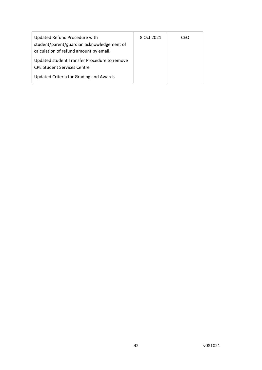| Updated Refund Procedure with<br>student/parent/guardian acknowledgement of            | 8 Oct 2021 | CEO |
|----------------------------------------------------------------------------------------|------------|-----|
| calculation of refund amount by email.<br>Updated student Transfer Procedure to remove |            |     |
| <b>CPE Student Services Centre</b><br>Updated Criteria for Grading and Awards          |            |     |